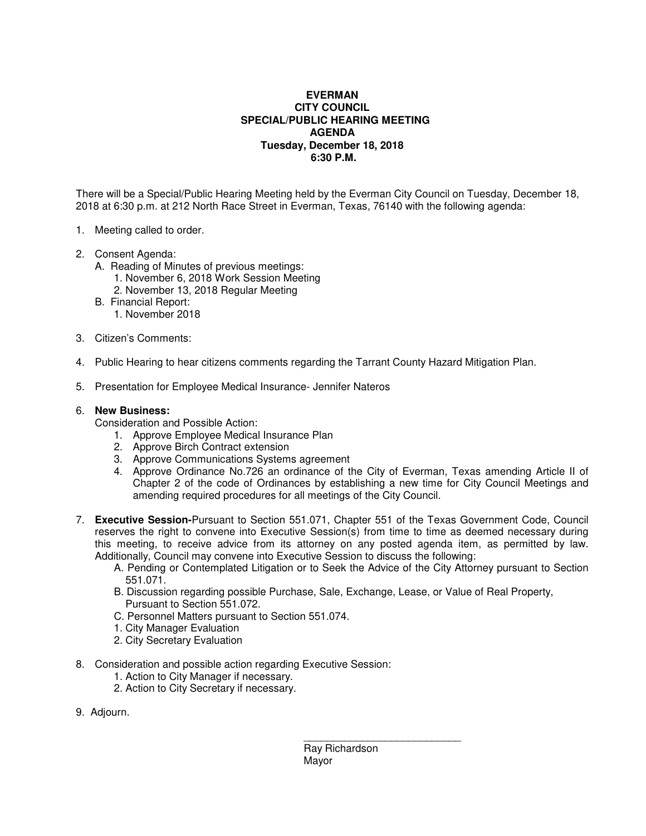## **EVERMAN CITY COUNCIL SPECIAL/PUBLIC HEARING MEETING AGENDA Tuesday, December 18, 2018 6:30 P.M.**

There will be a Special/Public Hearing Meeting held by the Everman City Council on Tuesday, December 18, 2018 at 6:30 p.m. at 212 North Race Street in Everman, Texas, 76140 with the following agenda:

- 1. Meeting called to order.
- 2. Consent Agenda:
	- A. Reading of Minutes of previous meetings:
		- 1. November 6, 2018 Work Session Meeting
		- 2. November 13, 2018 Regular Meeting
	- B. Financial Report:
		- 1. November 2018
- 3. Citizen's Comments:
- 4. Public Hearing to hear citizens comments regarding the Tarrant County Hazard Mitigation Plan.
- 5. Presentation for Employee Medical Insurance- Jennifer Nateros

## 6. **New Business:**

Consideration and Possible Action:

- 1. Approve Employee Medical Insurance Plan
- 2. Approve Birch Contract extension
- 3. Approve Communications Systems agreement
- 4. Approve Ordinance No.726 an ordinance of the City of Everman, Texas amending Article II of Chapter 2 of the code of Ordinances by establishing a new time for City Council Meetings and amending required procedures for all meetings of the City Council.
- 7. **Executive Session-**Pursuant to Section 551.071, Chapter 551 of the Texas Government Code, Council reserves the right to convene into Executive Session(s) from time to time as deemed necessary during this meeting, to receive advice from its attorney on any posted agenda item, as permitted by law. Additionally, Council may convene into Executive Session to discuss the following:
	- A. Pending or Contemplated Litigation or to Seek the Advice of the City Attorney pursuant to Section 551.071.
	- B. Discussion regarding possible Purchase, Sale, Exchange, Lease, or Value of Real Property, Pursuant to Section 551.072.
	- C. Personnel Matters pursuant to Section 551.074.
	- 1. City Manager Evaluation
	- 2. City Secretary Evaluation
- 8. Consideration and possible action regarding Executive Session:

 $\frac{1}{\sqrt{2}}$  , and the set of the set of the set of the set of the set of the set of the set of the set of the set of the set of the set of the set of the set of the set of the set of the set of the set of the set of the

- 1. Action to City Manager if necessary.
- 2. Action to City Secretary if necessary.
- 9. Adjourn.

 Ray Richardson Mayor